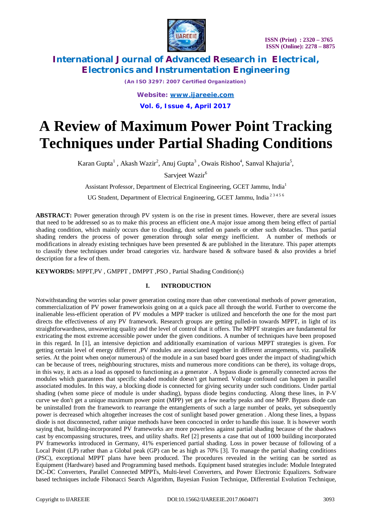

*(An ISO 3297: 2007 Certified Organization)*

*Website: [www.ijareeie.com](http://www.ijareeie.com)* **Vol. 6, Issue 4, April 2017**

# **A Review of Maximum Power Point Tracking Techniques under Partial Shading Conditions**

Karan Gupta<sup>1</sup>, Akash Wazir<sup>2</sup>, Anuj Gupta<sup>3</sup>, Owais Rishoo<sup>4</sup>, Sanval Khajuria<sup>5</sup>,

Sarvjeet Wazir<sup>6</sup>

Assistant Professor, Department of Electrical Engineering, GCET Jammu, India<sup>1</sup>

UG Student, Department of Electrical Engineering, GCET Jammu, India 2 3 4 5 6

**ABSTRACT:** Power generation through PV system is on the rise in present times. However, there are several issues that need to be addressed so as to make this process an efficient one.A major issue among them being effect of partial shading condition, which mainly occurs due to clouding, dust settled on panels or other such obstacles. Thus partial shading renders the process of power generation through solar energy inefficient. A number of methods or modifications in already existing techniques have been presented  $\&$  are published in the literature. This paper attempts to classify these techniques under broad categories viz. hardware based  $\&$  software based  $\&$  also provides a brief description for a few of them.

**KEYWORDS:** MPPT,PV , GMPPT , DMPPT ,PSO , Partial Shading Condition(s)

### **I. INTRODUCTION**

Notwithstanding the worries solar power generation costing more than other conventional methods of power generation, commercialization of PV power frameworksis going on at a quick pace all through the world. Further to overcome the inalienable less-efficient operation of PV modules a MPP tracker is utilized and henceforth the one for the most part directs the effectiveness of any PV framework. Research groups are getting pulled-in towards MPPT, in light of its straightforwardness, unwavering quality and the level of control that it offers. The MPPT strategies are fundamental for extricating the most extreme accessible power under the given conditions. A number of techniques have been proposed in this regard. In [1], an intensive depiction and additionally examination of various MPPT strategies is given. For getting certain level of energy different ,PV modules are associated together in different arrangements, viz. parallel& series. At the point when one(or numerous) of the module in a sun based board goes under the impact of shading(which can be because of trees, neighbouring structures, mists and numerous more conditions can be there), its voltage drops, in this way, it acts as a load as opposed to functioning as a generator . A bypass diode is generally connected across the modules which guarantees that specific shaded module doesn't get harmed. Voltage confound can happen in parallel associated modules. In this way, a blocking diode is connected for giving security under such conditions. Under partial shading (when some piece of module is under shading), bypass diode begins conducting. Along these lines, in P-V curve we don't get a unique maximum power point (MPP) yet get a few nearby peaks and one MPP. Bypass diode can be uninstalled from the framework to rearrange the entanglements of such a large number of peaks, yet subsequently power is decreased which altogether increases the cost of sunlight based power generation . Along these lines, a bypass diode is not disconnected, rather unique methods have been concocted in order to handle this issue. It is however worth saying that, building-incorporated PV frameworks are more powerless against partial shading because of the shadows cast by encompassing structures, trees, and utility shafts. Ref [2] presents a case that out of 1000 building incorporated PV frameworks introduced in Germany, 41% experienced partial shading. Loss in power because of following of a Local Point (LP) rather than a Global peak (GP) can be as high as 70% [3]. To manage the partial shading conditions (PSC), exceptional MPPT plans have been produced. The procedures revealed in the writing can be sorted as Equipment (Hardware) based and Programming based methods. Equipment based strategies include: Module Integrated DC-DC Converters, Parallel Connected MPPTs, Multi-level Converters, and Power Electronic Equalizers. Software based techniques include Fibonacci Search Algorithm, Bayesian Fusion Technique, Differential Evolution Technique,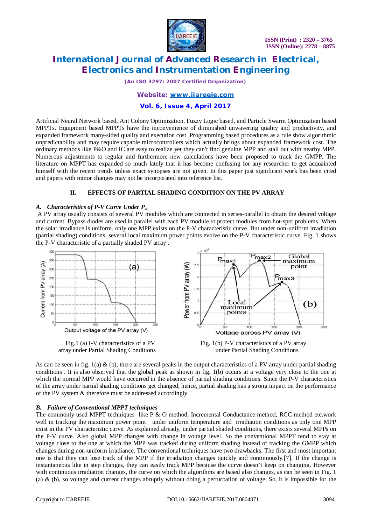

*(An ISO 3297: 2007 Certified Organization)*

### *Website: [www.ijareeie.com](http://www.ijareeie.com)*

### **Vol. 6, Issue 4, April 2017**

Artificial Neural Network based, Ant Colony Optimization, Fuzzy Logic based, and Particle Swarm Optimization based MPPTs. Equipment based MPPTs have the inconvenience of diminished unwavering quality and productivity, and expanded framework many-sided quality and execution cost. Programming based procedures as a rule show algorithmic unpredictability and may require capable microcontrollers which actually brings about expanded framework cost. The ordinary methods like P&O and IC are easy to realize yet they can't find genuine MPP and stall out with nearby MPP. Numerous adjustments to regular and furthermore new calculations have been proposed to track the GMPP. The literature on MPPT has expanded so much lately that it has become confusing for any researcher to get acquainted himself with the recent trends unless exact synopses are not given. In this paper just significant work has been cited and papers with minor changes may not be incorporated into reference list.

### **II. EFFECTS OF PARTIAL SHADING CONDITION ON THE PV ARRAY**

### *A. Characteristics of P-V Curve Under Psc*

A PV array usually consists of several PV modules which are connected in series-parallel to obtain the desired voltage and current. Bypass diodes are used in parallel with each PV module to protect modules from hot-spot problems. When the solar irradiance is uniform, only one MPP exists on the P-V characteristic curve. But under non-uniform irradiation (partial shading) conditions, several local maximum power points evolve on the P-V characteristic curve. Fig. 1 shows the P-V characteristic of a partially shaded PV array .



As can be seen in fig.  $1(a) \& (b)$ , there are several peaks in the output characteristics of a PV array under partial shading conditions . It is also observed that the global peak as shown in fig. 1(b) occurs at a voltage very close to the one at which the normal MPP would have occurred in the absence of partial shading conditions. Since the P-V characteristics of the array under partial shading conditions get changed, hence, partial shading has a strong impact on the performance of the PV system & therefore must be addressed accordingly.

### *B. Failure of Conventional MPPT techniques*

The commonly used MPPT techniques like  $P \& O$  method, Incremental Conductance method, RCC method etc.work well in tracking the maximum power point under uniform temperature and irradiation conditions as only one MPP exist in the PV characteristic curve. As explained already, under partial shaded conditions, there exists several MPPs on the P-V curve. Also global MPP changes with change in voltage level. So the conventional MPPT tend to stay at voltage close to the one at which the MPP was tracked during uniform shading instead of tracking the GMPP which changes during non-uniform irradiance. The conventional techniques have two drawbacks. The first and most important one is that they can lose track of the MPP if the irradiation changes quickly and continuously.[7]. If the change is instantaneous like in step changes, they can easily track MPP because the curve doesn't keep on changing. However with continuous irradiation changes, the curve on which the algorithms are based also changes, as can be seen in Fig. 1 (a) & (b), so voltage and current changes abruptly without doing a perturbation of voltage. So, it is impossible for the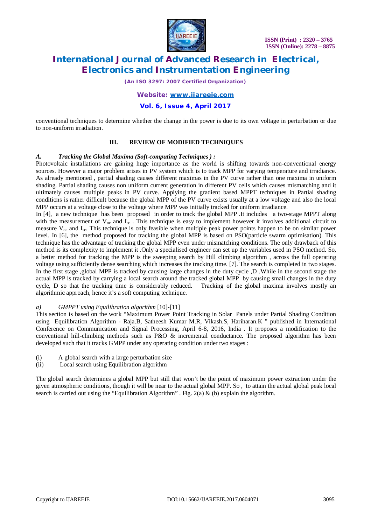

*(An ISO 3297: 2007 Certified Organization)*

*Website: [www.ijareeie.com](http://www.ijareeie.com)*

**Vol. 6, Issue 4, April 2017**

conventional techniques to determine whether the change in the power is due to its own voltage in perturbation or due to non-uniform irradiation.

### **III. REVIEW OF MODIFIED TECHNIQUES**

#### *A. Tracking the Global Maxima (Soft-computing Techniques ) :*

Photovoltaic installations are gaining huge importance as the world is shifting towards non-conventional energy sources. However a major problem arises in PV system which is to track MPP for varying temperature and irradiance. As already mentioned , partial shading causes different maximas in the PV curve rather than one maxima in uniform shading. Partial shading causes non uniform current generation in different PV cells which causes mismatching and it ultimately causes multiple peaks in PV curve. Applying the gradient based MPPT techniques in Partial shading conditions is rather difficult because the global MPP of the PV curve exists usually at a low voltage and also the local MPP occurs at a voltage close to the voltage where MPP was initially tracked for uniform irradiance.

In [4], a new technique has been proposed in order to track the global MPP .It includes a two-stage MPPT along with the measurement of  $V_{oc}$  and  $I_{sc}$ . This technique is easy to implement however it involves additional circuit to measure  $V_{\text{oc}}$  and  $I_{\text{sc}}$ . This technique is only feasible when multiple peak power points happen to be on similar power level. In [6], the method proposed for tracking the global MPP is based on PSO(particle swarm optimisation). This technique has the advantage of tracking the global MPP even under mismatching conditions. The only drawback of this method is its complexity to implement it .Only a specialised engineer can set up the variables used in PSO method. So, a better method for tracking the MPP is the sweeping search by Hill climbing algorithm , across the full operating voltage using sufficiently dense searching which increases the tracking time. [7]. The search is completed in two stages. In the first stage ,global MPP is tracked by causing large changes in the duty cycle ,D .While in the second stage the actual MPP is tracked by carrying a local search around the tracked global MPP by causing small changes in the duty cycle, D so that the tracking time is considerably reduced. Tracking of the global maxima involves mostly an algorithmic approach, hence it's a soft computing technique.

### *a) GMPPT using Equilibration algorithm* [10]-[11]

This section is based on the work "Maximum Power Point Tracking in Solar Panels under Partial Shading Condition using Equilibration Algorithm - Raja.B, Satheesh Kumar M.R, Vikash.S, Hariharan.K " published in International Conference on Communication and Signal Processing, April 6-8, 2016, India . It proposes a modification to the conventional hill-climbing methods such as P&O  $\&$  incremental conductance. The proposed algorithm has been developed such that it tracks GMPP under any operating condition under two stages :

- (i) A global search with a large perturbation size<br>
(ii) Local search using Equilibration algorithm
- Local search using Equilibration algorithm

The global search determines a global MPP but still that won't be the point of maximum power extraction under the given atmospheric conditions, though it will be near to the actual global MPP. So , to attain the actual global peak local search is carried out using the "Equilibration Algorithm". Fig.  $2(a) \& (b)$  explain the algorithm.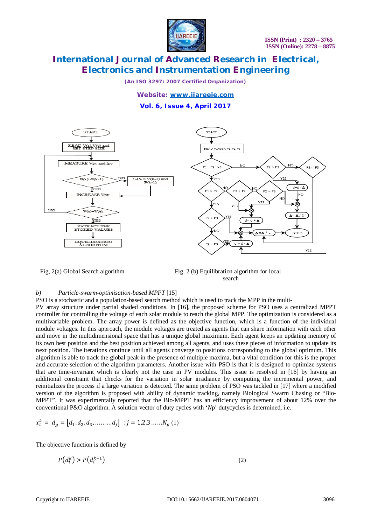

*(An ISO 3297: 2007 Certified Organization)*

*Website: [www.ijareeie.com](http://www.ijareeie.com)*

**Vol. 6, Issue 4, April 2017**





### *b) Particle-swarm-optimisation-based MPPT* [15]

PSO is a stochastic and a population-based search method which is used to track the MPP in the multi-

PV array structure under partial shaded conditions. In [16], the proposed scheme for PSO uses a centralized MPPT controller for controlling the voltage of each solar module to reach the global MPP. The optimization is considered as a multivariable problem. The array power is defined as the objective function, which is a function of the individual module voltages. In this approach, the module voltages are treated as agents that can share information with each other and move in the multidimensional space that has a unique global maximum. Each agent keeps an updating memory of its own best position and the best position achieved among all agents, and uses these pieces of information to update its next position. The iterations continue until all agents converge to positions corresponding to the global optimum. This algorithm is able to track the global peak in the presence of multiple maxima, but a vital condition for this is the proper and accurate selection of the algorithm parameters. Another issue with PSO is that it is designed to optimize systems that are time-invariant which is clearly not the case in PV modules. This issue is resolved in [16] by having an additional constraint that checks for the variation in solar irradiance by computing the incremental power, and reinitializes the process if a large variation is detected. The same problem of PSO was tackled in [17] where a modified version of the algorithm is proposed with ability of dynamic tracking, namely Biological Swarm Chasing or "Bio-MPPT". It was experimentally reported that the Bio-MPPT has an efficiency improvement of about 12% over the conventional P&O algorithm. A solution vector of duty cycles with '*N*p' dutycycles is determined, i.e.

$$
x_i^k = d_g = [d_1, d_2, d_3, \dots \dots \dots d_j] \; ; j = 1, 2, 3, \dots \dots N_p \; (1)
$$

The objective function is defined by

$$
P(d_i^k) > P(d_i^{k-1})
$$
\n<sup>(2)</sup>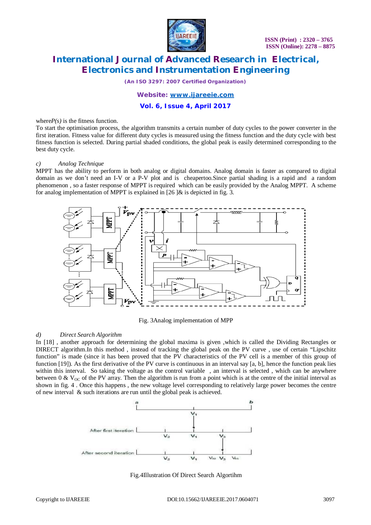

*(An ISO 3297: 2007 Certified Organization)*

### *Website: [www.ijareeie.com](http://www.ijareeie.com)*

### **Vol. 6, Issue 4, April 2017**

where $P(s)$  is the fitness function.

To start the optimisation process, the algorithm transmits a certain number of duty cycles to the power converter in the first iteration. Fitness value for different duty cycles is measured using the fitness function and the duty cycle with best fitness function is selected. During partial shaded conditions, the global peak is easily determined corresponding to the best duty cycle.

#### *c) Analog Technique*

MPPT has the ability to perform in both analog or digital domains. Analog domain is faster as compared to digital domain as we don't need an I-V or a P-V plot and is cheapertoo.Since partial shading is a rapid and a random phenomenon , so a faster response of MPPT is required which can be easily provided by the Analog MPPT. A scheme for analog implementation of MPPT is explained in  $[26 \, \text{d}\&$  is depicted in fig. 3.



Fig. 3Analog implementation of MPP

### *d) Direct Search Algorithm*

In [18], another approach for determining the global maxima is given ,which is called the Dividing Rectangles or DIRECT algorithm.In this method , instead of tracking the global peak on the PV curve , use of certain "Lipschitz function" is made (since it has been proved that the PV characteristics of the PV cell is a member of this group of function [19]). As the first derivative of the PV curve is continuous in an interval say [a, b], hence the function peak lies within this interval. So taking the voltage as the control variable, an interval is selected, which can be anywhere between  $0 \& V_{\text{OC}}$  of the PV array. Then the algorithm is run from a point which is at the centre of the initial interval as shown in fig. 4 . Once this happens , the new voltage level corresponding to relatively large power becomes the centre of new interval & such iterations are run until the global peak is achieved.



Fig.4Illustration Of Direct Search Algortihm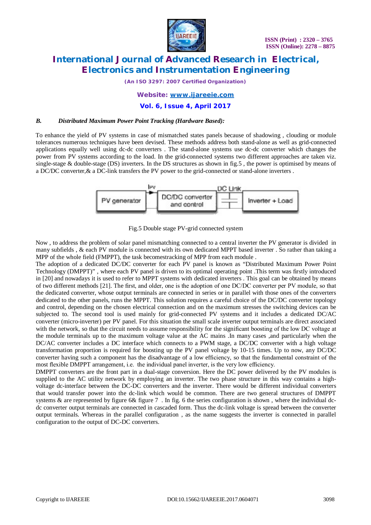

*(An ISO 3297: 2007 Certified Organization)*

### *Website: [www.ijareeie.com](http://www.ijareeie.com)*

### **Vol. 6, Issue 4, April 2017**

### *B. Distributed Maximum Power Point Tracking (Hardware Based):*

To enhance the yield of PV systems in case of mismatched states panels because of shadowing , clouding or module tolerances numerous techniques have been devised. These methods address both stand-alone as well as grid-connected applications equally well using dc-dc converters . The stand-alone systems use dc-dc converter which changes the power from PV systems according to the load. In the grid-connected systems two different approaches are taken viz. single-stage & double-stage (DS) inverters. In the DS structures as shown in fig.5 , the power is optimised by means of a DC/DC converter,& a DC-link transfers the PV power to the grid-connected or stand-alone inverters .



Fig.5 Double stage PV-grid connected system

Now , to address the problem of solar panel mismatching connected to a central inverter the PV generator is divided in many subfields , & each PV module is connected with its own dedicated MPPT based inverter . So rather than taking a MPP of the whole field (FMPPT), the task becomestracking of MPP from each module .

The adoption of a dedicated DC/DC converter for each PV panel is known as "Distributed Maximum Power Point Technology (DMPPT)" , where each PV panel is driven to its optimal operating point .This term was firstly introduced in [20] and nowadays it is used to refer to MPPT systems with dedicated inverters . This goal can be obtained by means of two different methods [21]. The first, and older, one is the adoption of one DC/DC converter per PV module, so that the dedicated converter, whose output terminals are connected in series or in parallel with those ones of the converters dedicated to the other panels, runs the MPPT. This solution requires a careful choice of the DC/DC converter topology and control, depending on the chosen electrical connection and on the maximum stresses the switching devices can be subjected to. The second tool is used mainly for grid-connected PV systems and it includes a dedicated DC/AC converter (micro-inverter) per PV panel. For this situation the small scale inverter output terminals are direct associated with the network, so that the circuit needs to assume responsibility for the significant boosting of the low DC voltage at the module terminals up to the maximum voltage value at the AC mains .In many cases ,and particularly when the DC/AC converter includes a DC interface which connects to a PWM stage, a DC/DC converter with a high voltage transformation proportion is required for boosting up the PV panel voltage by 10-15 times. Up to now, any DC/DC converter having such a component has the disadvantage of a low efficiency, so that the fundamental constraint of the most flexible DMPPT arrangement, i.e. the individual panel inverter, is the very low efficiency.

DMPPT converters are the front part in a dual-stage conversion. Here the DC power delivered by the PV modules is supplied to the AC utility network by employing an inverter. The two phase structure in this way contains a highvoltage dc-interface between the DC-DC converters and the inverter. There would be different individual converters that would transfer power into the dc-link which would be common. There are two general structures of DMPPT systems  $\&$  are represented by figure 6 $\&$  figure 7. In fig. 6 the series configuration is shown, where the individual dcdc converter output terminals are connected in cascaded form. Thus the dc-link voltage is spread between the converter output terminals. Whereas in the parallel configuration , as the name suggests the inverter is connected in parallel configuration to the output of DC-DC converters.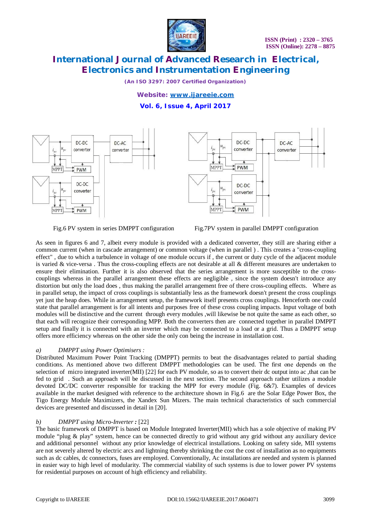

*(An ISO 3297: 2007 Certified Organization)*

### *Website: [www.ijareeie.com](http://www.ijareeie.com)* **Vol. 6, Issue 4, April 2017**



Fig.6 PV system in series DMPPT configuration Fig.7PV system in parallel DMPPT configuration

As seen in figures 6 and 7, albeit every module is provided with a dedicated converter, they still are sharing either a common current (when in cascade arrangement) or common voltage (when in parallel ) . This creates a "cross-coupling effect" , due to which a turbulence in voltage of one module occurs if , the current or duty cycle of the adjacent module is varied  $&$  vice-versa. Thus the cross-coupling effects are not desirable at all  $&$  different measures are undertaken to ensure their elimination. Further it is also observed that the series arrangement is more susceptible to the crosscouplings whereas in the parallel arrangement these effects are negligible , since the system doesn't introduce any distortion but only the load does , thus making the parallel arrangement free of there cross-coupling effects. Where as in parallel setup, the impact of cross couplings is substantially less as the framework doesn't present the cross couplings yet just the heap does. While in arrangement setup, the framework itself presents cross couplings. Henceforth one could state that parallel arrangement is for all intents and purposes free of these cross coupling impacts. Input voltage of both modules will be distinctive and the current through every modules ,will likewise be not quite the same as each other, so that each will recognize their corresponding MPP. Both the converters then are connected together in parallel DMPPT setup and finally it is connected with an inverter which may be connected to a load or a grid. Thus a DMPPT setup offers more efficiency whereas on the other side the only con being the increase in installation cost.

### *a) DMPPT using Power Optimisers :*

Distributed Maximum Power Point Tracking (DMPPT) permits to beat the disadvantages related to partial shading conditions. As mentioned above two different DMPPT methodologies can be used. The first one depends on the selection of micro integrated inverter(MII) [22] for each PV module, so as to convert their dc output into ac ,that can be fed to grid . Such an approach will be discussed in the next section. The second approach rather utilizes a module devoted DC/DC converter responsible for tracking the MPP for every module (Fig. 6&7). Examples of devices available in the market designed with reference to the architecture shown in Fig.6 are the Solar Edge Power Box, the Tigo Energy Module Maximizers, the Xandex Sun Mizers. The main technical characteristics of such commercial devices are presented and discussed in detail in [20].

### *b) DMPPT using Micro-Inverter :* [22]

The basic framework of DMPPT is based on Module Integrated Inverter(MII) which has a sole objective of making PV module "plug & play" system, hence can be connected directly to grid without any grid without any auxiliary device and additional personnel without any prior knowledge of electrical installations. Looking on safety side, MII systems are not severely altered by electric arcs and lightning thereby shrinking the cost the cost of installation as no equipments such as dc cables, dc connectors, fuses are employed. Conventionally, Ac installations are needed and system is planned in easier way to high level of modularity. The commercial viability of such systems is due to lower power PV systems for residential purposes on account of high efficiency and reliability.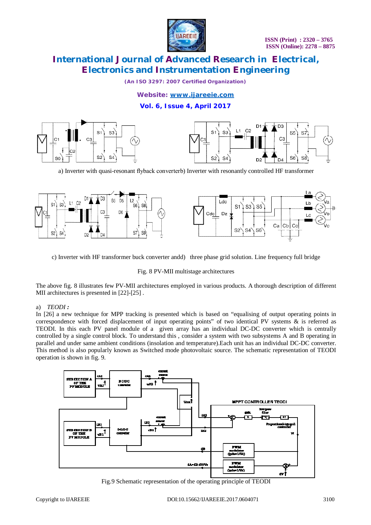

*(An ISO 3297: 2007 Certified Organization)*

### *Website: [www.ijareeie.com](http://www.ijareeie.com)*

### **Vol. 6, Issue 4, April 2017**



a) Inverter with quasi-resonant flyback converterb) Inverter with resonantly controlled HF transformer



c) Inverter with HF transformer buck converter andd) three phase grid solution. Line frequency full bridge

#### Fig. 8 PV-MII multistage architectures

The above fig. 8 illustrates few PV-MII architectures employed in various products. A thorough description of different MII architectures is presented in [22]-[25] .

### a) *TEODI :*

In [26] a new technique for MPP tracking is presented which is based on "equalising of output operating points in correspondence with forced displacement of input operating points" of two identical PV systems & is referred as TEODI. In this each PV panel module of a given array has an individual DC-DC converter which is centrally controlled by a single control block. To understand this , consider a system with two subsystems A and B operating in parallel and under same ambient conditions (insolation and temperature).Each unit has an individual DC-DC converter. This method is also popularly known as Switched mode photovoltaic source. The schematic representation of TEODI operation is shown in fig. 9.



Fig.9 Schematic representation of the operating principle of TEODI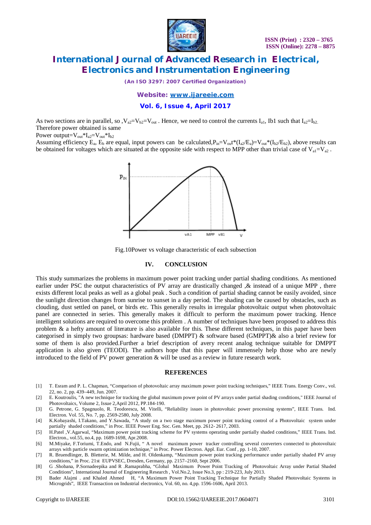

*(An ISO 3297: 2007 Certified Organization)*

*Website: [www.ijareeie.com](http://www.ijareeie.com)*

**Vol. 6, Issue 4, April 2017**

As two sections are in parallel, so  $V_{a2}=V_{b2}=V_{out}$ . Hence, we need to control the currents  $I_{a1}$ , Ib1 such that  $I_{a2}=I_{b2}$ . Therefore power obtained is same

Power output= $V_{out} * I_{a2} = V_{out} * I_{b2}$ 

Assuming efficiency  $E_a$ ,  $E_b$  are equal, input powers can be calculated,  $P_{in} = V_{out} * (I_{a2}/E_a) = V_{out} * (I_{b2}/E_{b2})$ , above results can be obtained for voltages which are situated at the opposite side with respect to MPP other than trivial case of  $V_{a1}=V_{a2}$ .



Fig.10Power vs voltage characteristic of each subsection

#### **IV. CONCLUSION**

This study summarizes the problems in maximum power point tracking under partial shading conditions. As mentioned earlier under PSC the output characteristics of PV array are drastically changed , & instead of a unique MPP, there exists different local peaks as well as a global peak . Such a condition of partial shading cannot be easily avoided, since the sunlight direction changes from sunrise to sunset in a day period. The shading can be caused by obstacles, such as clouding, dust settled on panel, or birds etc. This generally results in irregular photovoltaic output when photovoltaic panel are connected in series. This generally makes it difficult to perform the maximum power tracking. Hence intelligent solutions are required to overcome this problem . A number of techniques have been proposed to address this problem  $\&$  a hefty amount of literature is also available for this. These different techniques, in this paper have been categorised in simply two groupsas: hardware based (DMPPT) & software based (GMPPT)& also a brief review for some of them is also provided.Further a brief description of avery recent analog technique suitable for DMPPT application is also given (TEODI). The authors hope that this paper will immensely help those who are newly introduced to the field of PV power generation  $&$  will be used as a review in future research work.

#### **REFERENCES**

- [1] T. Esram and P. L. Chapman, "Comparison of photovoltaic array maximum power point tracking techniques," IEEE Trans. Energy Conv., vol. 22, no. 2, pp. 439–449, Jun. 2007.
- [2] E. Koutroulis, "A new technique for tracking the global maximum power point of PV arrays under partial shading conditions," IEEE Journal of Photovoltaics, Volume 2, Issue 2,April 2012, PP.184-190.
- [3] G. Petrone, G. Spagnuolo, R. Teodorescu, M. Vitelli, "Reliability issues in photovoltaic power processing systems", IEEE Trans. Ind. Electron. Vol. 55, No. 7, pp. 2569-2580, July 2008.

[4] K.Kobayashi, I.Takano, and Y.Sawada, "A study on a two stage maximum power point tracking control of a Photovoltaic system under partially shaded conditions," in Proc. IEEE Power Eng. Soc. Gen. Meet, pp. 2612- 2617, 2003.

- [5] H.Patel ,V.Agarwal, "Maximum power point tracking scheme for PV systems operating under partially shaded conditions," IEEE Trans. Ind. Electron., vol.55, no.4, pp. 1689-1698, Apr.2008.
- [6] M.Miyake, F.Toriumi, T.Endo, and N.Fujii, " A novel maximum power tracker controlling several converters connected to photovoltaic arrays with particle swarm optimization technique," in Proc. Power Electron. Appl. Eur. Conf , pp. 1-10, 2007.
- [7] R. Bruendlinger, B. Bletterie, M. Milde, and H. Oldenkamp, "Maximum power point tracking performance under partially shaded PV array conditions," in Proc. 21st EUPVSEC, Dresden, Germany, pp. 2157–2160, Sept 2006.
- [8] G .Shobana, P.Sornadeepika and R .Ramaprabha, "Global Maximum Power Point Tracking of Photovoltaic Array under Partial Shaded Conditions", International Journal of Engineering Research , Vol.No.2, Issue No.3, pp : 219-223, July 2013.
- [9] Bader Alajmi . and Khaled Ahmed H, "A Maximum Power Point Tracking Technique for Partially Shaded Photovoltaic Systems in Microgrids", IEEE Transaction on Industrial electronics, Vol. 60, no. 4,pp. 1596-1606, April 2013.